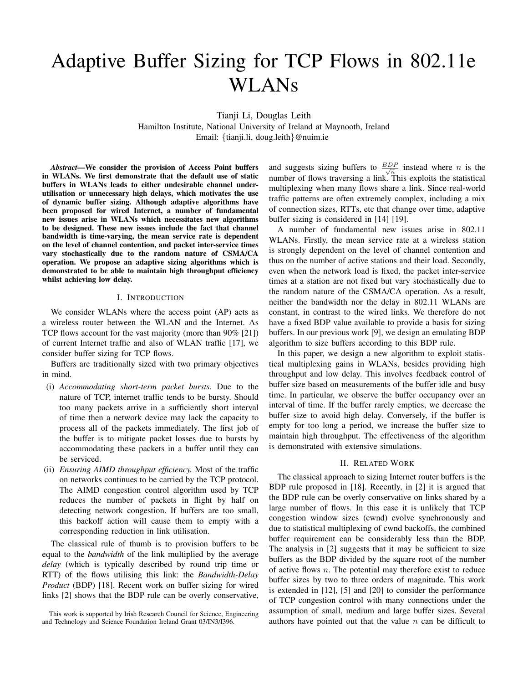# Adaptive Buffer Sizing for TCP Flows in 802.11e WLANs

Tianji Li, Douglas Leith

Hamilton Institute, National University of Ireland at Maynooth, Ireland Email: {tianji.li, doug.leith}@nuim.ie

*Abstract*—We consider the provision of Access Point buffers in WLANs. We first demonstrate that the default use of static buffers in WLANs leads to either undesirable channel underutilisation or unnecessary high delays, which motivates the use of dynamic buffer sizing. Although adaptive algorithms have been proposed for wired Internet, a number of fundamental new issues arise in WLANs which necessitates new algorithms to be designed. These new issues include the fact that channel bandwidth is time-varying, the mean service rate is dependent on the level of channel contention, and packet inter-service times vary stochastically due to the random nature of CSMA/CA operation. We propose an adaptive sizing algorithms which is demonstrated to be able to maintain high throughput efficiency whilst achieving low delay.

#### I. INTRODUCTION

We consider WLANs where the access point (AP) acts as a wireless router between the WLAN and the Internet. As TCP flows account for the vast majority (more than 90% [21]) of current Internet traffic and also of WLAN traffic [17], we consider buffer sizing for TCP flows.

Buffers are traditionally sized with two primary objectives in mind.

- (i) *Accommodating short-term packet bursts.* Due to the nature of TCP, internet traffic tends to be bursty. Should too many packets arrive in a sufficiently short interval of time then a network device may lack the capacity to process all of the packets immediately. The first job of the buffer is to mitigate packet losses due to bursts by accommodating these packets in a buffer until they can be serviced.
- (ii) *Ensuring AIMD throughput efficiency.* Most of the traffic on networks continues to be carried by the TCP protocol. The AIMD congestion control algorithm used by TCP reduces the number of packets in flight by half on detecting network congestion. If buffers are too small, this backoff action will cause them to empty with a corresponding reduction in link utilisation.

The classical rule of thumb is to provision buffers to be equal to the *bandwidth* of the link multiplied by the average *delay* (which is typically described by round trip time or RTT) of the flows utilising this link: the *Bandwidth-Delay Product* (BDP) [18]. Recent work on buffer sizing for wired links [2] shows that the BDP rule can be overly conservative,

and suggests sizing buffers to  $\frac{BDP}{\sqrt{n}}$  instead where *n* is the number of flows traversing a link. This exploits the statistical multiplexing when many flows share a link. Since real-world traffic patterns are often extremely complex, including a mix of connection sizes, RTTs, etc that change over time, adaptive buffer sizing is considered in [14] [19].

A number of fundamental new issues arise in 802.11 WLANs. Firstly, the mean service rate at a wireless station is strongly dependent on the level of channel contention and thus on the number of active stations and their load. Secondly, even when the network load is fixed, the packet inter-service times at a station are not fixed but vary stochastically due to the random nature of the CSMA/CA operation. As a result, neither the bandwidth nor the delay in 802.11 WLANs are constant, in contrast to the wired links. We therefore do not have a fixed BDP value available to provide a basis for sizing buffers. In our previous work [9], we design an emulating BDP algorithm to size buffers according to this BDP rule.

In this paper, we design a new algorithm to exploit statistical multiplexing gains in WLANs, besides providing high throughput and low delay. This involves feedback control of buffer size based on measurements of the buffer idle and busy time. In particular, we observe the buffer occupancy over an interval of time. If the buffer rarely empties, we decrease the buffer size to avoid high delay. Conversely, if the buffer is empty for too long a period, we increase the buffer size to maintain high throughput. The effectiveness of the algorithm is demonstrated with extensive simulations.

# II. RELATED WORK

The classical approach to sizing Internet router buffers is the BDP rule proposed in [18]. Recently, in [2] it is argued that the BDP rule can be overly conservative on links shared by a large number of flows. In this case it is unlikely that TCP congestion window sizes (cwnd) evolve synchronously and due to statistical multiplexing of cwnd backoffs, the combined buffer requirement can be considerably less than the BDP. The analysis in [2] suggests that it may be sufficient to size buffers as the BDP divided by the square root of the number of active flows  $n$ . The potential may therefore exist to reduce buffer sizes by two to three orders of magnitude. This work is extended in [12], [5] and [20] to consider the performance of TCP congestion control with many connections under the assumption of small, medium and large buffer sizes. Several authors have pointed out that the value  $n$  can be difficult to

This work is supported by Irish Research Council for Science, Engineering and Technology and Science Foundation Ireland Grant 03/IN3/I396.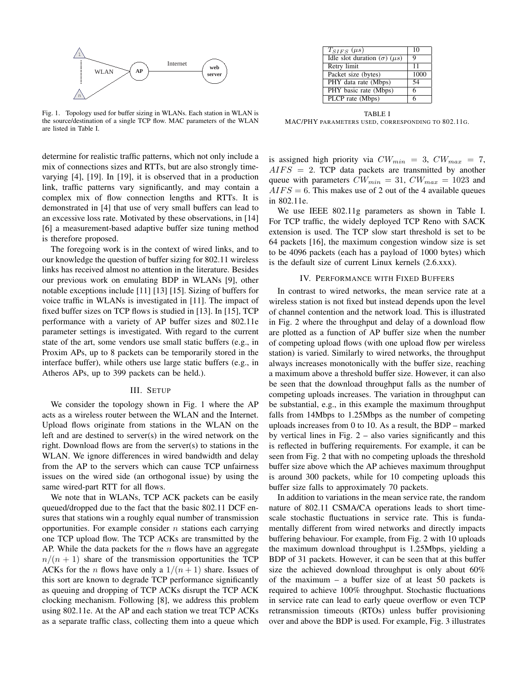

Fig. 1. Topology used for buffer sizing in WLANs. Each station in WLAN is the source/destination of a single TCP flow. MAC parameters of the WLAN are listed in Table I.

determine for realistic traffic patterns, which not only include a mix of connections sizes and RTTs, but are also strongly timevarying [4], [19]. In [19], it is observed that in a production link, traffic patterns vary significantly, and may contain a complex mix of flow connection lengths and RTTs. It is demonstrated in [4] that use of very small buffers can lead to an excessive loss rate. Motivated by these observations, in [14] [6] a measurement-based adaptive buffer size tuning method is therefore proposed.

The foregoing work is in the context of wired links, and to our knowledge the question of buffer sizing for 802.11 wireless links has received almost no attention in the literature. Besides our previous work on emulating BDP in WLANs [9], other notable exceptions include [11] [13] [15]. Sizing of buffers for voice traffic in WLANs is investigated in [11]. The impact of fixed buffer sizes on TCP flows is studied in [13]. In [15], TCP performance with a variety of AP buffer sizes and 802.11e parameter settings is investigated. With regard to the current state of the art, some vendors use small static buffers (e.g., in Proxim APs, up to 8 packets can be temporarily stored in the interface buffer), while others use large static buffers (e.g., in Atheros APs, up to 399 packets can be held.).

#### III. SETUP

We consider the topology shown in Fig. 1 where the AP acts as a wireless router between the WLAN and the Internet. Upload flows originate from stations in the WLAN on the left and are destined to server(s) in the wired network on the right. Download flows are from the server(s) to stations in the WLAN. We ignore differences in wired bandwidth and delay from the AP to the servers which can cause TCP unfairness issues on the wired side (an orthogonal issue) by using the same wired-part RTT for all flows.

We note that in WLANs, TCP ACK packets can be easily queued/dropped due to the fact that the basic 802.11 DCF ensures that stations win a roughly equal number of transmission opportunities. For example consider  $n$  stations each carrying one TCP upload flow. The TCP ACKs are transmitted by the AP. While the data packets for the  $n$  flows have an aggregate  $n/(n + 1)$  share of the transmission opportunities the TCP ACKs for the *n* flows have only a  $1/(n+1)$  share. Issues of this sort are known to degrade TCP performance significantly as queuing and dropping of TCP ACKs disrupt the TCP ACK clocking mechanism. Following [8], we address this problem using 802.11e. At the AP and each station we treat TCP ACKs as a separate traffic class, collecting them into a queue which

| 10   |
|------|
| Q    |
| 11   |
| 1000 |
| 54   |
| 6    |
| 6    |
|      |

TABLE I MAC/PHY PARAMETERS USED, CORRESPONDING TO 802.11G.

is assigned high priority via  $CW_{min} = 3$ ,  $CW_{max} = 7$ ,  $AIFS = 2$ . TCP data packets are transmitted by another queue with parameters  $CW_{min} = 31$ ,  $CW_{max} = 1023$  and  $AIFS = 6$ . This makes use of 2 out of the 4 available queues in 802.11e.

We use IEEE 802.11g parameters as shown in Table I. For TCP traffic, the widely deployed TCP Reno with SACK extension is used. The TCP slow start threshold is set to be 64 packets [16], the maximum congestion window size is set to be 4096 packets (each has a payload of 1000 bytes) which is the default size of current Linux kernels (2.6.xxx).

### IV. PERFORMANCE WITH FIXED BUFFERS

In contrast to wired networks, the mean service rate at a wireless station is not fixed but instead depends upon the level of channel contention and the network load. This is illustrated in Fig. 2 where the throughput and delay of a download flow are plotted as a function of AP buffer size when the number of competing upload flows (with one upload flow per wireless station) is varied. Similarly to wired networks, the throughput always increases monotonically with the buffer size, reaching a maximum above a threshold buffer size. However, it can also be seen that the download throughput falls as the number of competing uploads increases. The variation in throughput can be substantial, e.g., in this example the maximum throughput falls from 14Mbps to 1.25Mbps as the number of competing uploads increases from 0 to 10. As a result, the BDP – marked by vertical lines in Fig.  $2 -$  also varies significantly and this is reflected in buffering requirements. For example, it can be seen from Fig. 2 that with no competing uploads the threshold buffer size above which the AP achieves maximum throughput is around 300 packets, while for 10 competing uploads this buffer size falls to approximately 70 packets.

In addition to variations in the mean service rate, the random nature of 802.11 CSMA/CA operations leads to short timescale stochastic fluctuations in service rate. This is fundamentally different from wired networks and directly impacts buffering behaviour. For example, from Fig. 2 with 10 uploads the maximum download throughput is 1.25Mbps, yielding a BDP of 31 packets. However, it can be seen that at this buffer size the achieved download throughput is only about 60% of the maximum – a buffer size of at least 50 packets is required to achieve 100% throughput. Stochastic fluctuations in service rate can lead to early queue overflow or even TCP retransmission timeouts (RTOs) unless buffer provisioning over and above the BDP is used. For example, Fig. 3 illustrates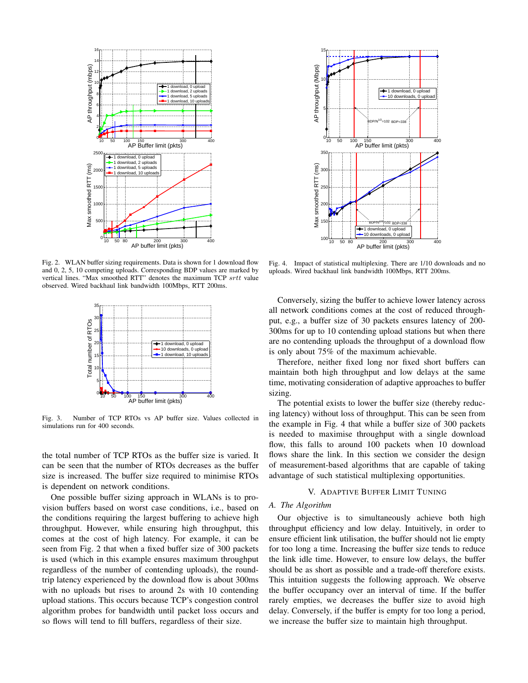

Fig. 2. WLAN buffer sizing requirements. Data is shown for 1 download flow and 0, 2, 5, 10 competing uploads. Corresponding BDP values are marked by vertical lines. "Max smoothed RTT" denotes the maximum TCP srtt value observed. Wired backhaul link bandwidth 100Mbps, RTT 200ms.



Fig. 3. Number of TCP RTOs vs AP buffer size. Values collected in simulations run for 400 seconds.

the total number of TCP RTOs as the buffer size is varied. It can be seen that the number of RTOs decreases as the buffer size is increased. The buffer size required to minimise RTOs is dependent on network conditions.

One possible buffer sizing approach in WLANs is to provision buffers based on worst case conditions, i.e., based on the conditions requiring the largest buffering to achieve high throughput. However, while ensuring high throughput, this comes at the cost of high latency. For example, it can be seen from Fig. 2 that when a fixed buffer size of 300 packets is used (which in this example ensures maximum throughput regardless of the number of contending uploads), the roundtrip latency experienced by the download flow is about 300ms with no uploads but rises to around 2s with 10 contending upload stations. This occurs because TCP's congestion control algorithm probes for bandwidth until packet loss occurs and so flows will tend to fill buffers, regardless of their size.



Fig. 4. Impact of statistical multiplexing. There are 1/10 downloads and no uploads. Wired backhaul link bandwidth 100Mbps, RTT 200ms.

Conversely, sizing the buffer to achieve lower latency across all network conditions comes at the cost of reduced throughput, e.g., a buffer size of 30 packets ensures latency of 200- 300ms for up to 10 contending upload stations but when there are no contending uploads the throughput of a download flow is only about 75% of the maximum achievable.

Therefore, neither fixed long nor fixed short buffers can maintain both high throughput and low delays at the same time, motivating consideration of adaptive approaches to buffer sizing.

The potential exists to lower the buffer size (thereby reducing latency) without loss of throughput. This can be seen from the example in Fig. 4 that while a buffer size of 300 packets is needed to maximise throughput with a single download flow, this falls to around 100 packets when 10 download flows share the link. In this section we consider the design of measurement-based algorithms that are capable of taking advantage of such statistical multiplexing opportunities.

## V. ADAPTIVE BUFFER LIMIT TUNING

#### *A. The Algorithm*

Our objective is to simultaneously achieve both high throughput efficiency and low delay. Intuitively, in order to ensure efficient link utilisation, the buffer should not lie empty for too long a time. Increasing the buffer size tends to reduce the link idle time. However, to ensure low delays, the buffer should be as short as possible and a trade-off therefore exists. This intuition suggests the following approach. We observe the buffer occupancy over an interval of time. If the buffer rarely empties, we decreases the buffer size to avoid high delay. Conversely, if the buffer is empty for too long a period, we increase the buffer size to maintain high throughput.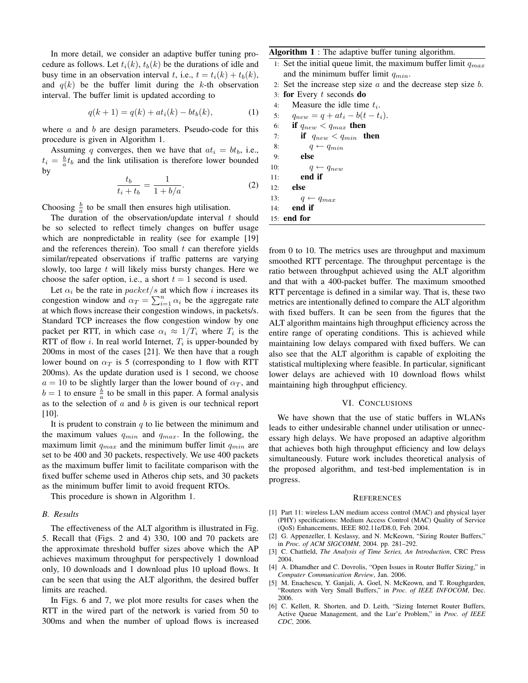In more detail, we consider an adaptive buffer tuning procedure as follows. Let  $t_i(k)$ ,  $t_b(k)$  be the durations of idle and busy time in an observation interval t, i.e.,  $t = t_i(k) + t_b(k)$ , and  $q(k)$  be the buffer limit during the k-th observation interval. The buffer limit is updated according to

$$
q(k+1) = q(k) + at_i(k) - bt_b(k),
$$
 (1)

where  $\alpha$  and  $\beta$  are design parameters. Pseudo-code for this procedure is given in Algorithm 1.

Assuming q converges, then we have that  $at_i = bt_b$ , i.e.,  $t_i = \frac{b}{a} t_b$  and the link utilisation is therefore lower bounded by

$$
\frac{t_b}{t_i + t_b} = \frac{1}{1 + b/a}.
$$
 (2)

Choosing  $\frac{b}{a}$  to be small then ensures high utilisation.

The duration of the observation/update interval  $t$  should be so selected to reflect timely changes on buffer usage which are nonpredictable in reality (see for example [19] and the references therein). Too small  $t$  can therefore yields similar/repeated observations if traffic patterns are varying slowly, too large  $t$  will likely miss bursty changes. Here we choose the safer option, i.e., a short  $t = 1$  second is used.

Let  $\alpha_i$  be the rate in packet/s at which flow i increases its Let  $\alpha_i$  be the rate in *packet/s* at which how *i* increases its<br>congestion window and  $\alpha_T = \sum_{i=1}^n \alpha_i$  be the aggregate rate at which flows increase their congestion windows, in packets/s. Standard TCP increases the flow congestion window by one packet per RTT, in which case  $\alpha_i \approx 1/T_i$  where  $T_i$  is the RTT of flow *i*. In real world Internet,  $T_i$  is upper-bounded by 200ms in most of the cases [21]. We then have that a rough lower bound on  $\alpha_T$  is 5 (corresponding to 1 flow with RTT 200ms). As the update duration used is 1 second, we choose  $a = 10$  to be slightly larger than the lower bound of  $\alpha_T$ , and  $b = 1$  to ensure  $\frac{b}{a}$  to be small in this paper. A formal analysis as to the selection of  $a$  and  $b$  is given is our technical report [10].

It is prudent to constrain  $q$  to lie between the minimum and the maximum values  $q_{min}$  and  $q_{max}$ . In the following, the maximum limit  $q_{max}$  and the minimum buffer limit  $q_{min}$  are set to be 400 and 30 packets, respectively. We use 400 packets as the maximum buffer limit to facilitate comparison with the fixed buffer scheme used in Atheros chip sets, and 30 packets as the minimum buffer limit to avoid frequent RTOs.

This procedure is shown in Algorithm 1.

# *B. Results*

The effectiveness of the ALT algorithm is illustrated in Fig. 5. Recall that (Figs. 2 and 4) 330, 100 and 70 packets are the approximate threshold buffer sizes above which the AP achieves maximum throughput for perspectively 1 download only, 10 downloads and 1 download plus 10 upload flows. It can be seen that using the ALT algorithm, the desired buffer limits are reached.

In Figs. 6 and 7, we plot more results for cases when the RTT in the wired part of the network is varied from 50 to 300ms and when the number of upload flows is increased Algorithm 1 : The adaptive buffer tuning algorithm.

- 1: Set the initial queue limit, the maximum buffer limit  $q_{max}$ and the minimum buffer limit  $q_{min}$ .
- 2: Set the increase step size  $a$  and the decrease step size  $b$ .
- 3: for Every  $t$  seconds do
- 4: Measure the idle time  $t_i$ .
- 5:  $q_{new} = q + at_i b(t t_i).$

|     | 6: if $q_{new} < q_{max}$ then    |
|-----|-----------------------------------|
|     | 7:<br>if $q_{new} < q_{min}$ then |
| 8:  | $q \leftarrow q_{min}$            |
| 9:  | else                              |
| 10: | $q \leftarrow q_{new}$            |
|     | end if<br>11:                     |
|     | 12: <b>else</b>                   |
|     | 13: $q \leftarrow q_{max}$        |
|     | $14:$ end if                      |
|     | $15:$ end for                     |

from 0 to 10. The metrics uses are throughput and maximum smoothed RTT percentage. The throughput percentage is the ratio between throughput achieved using the ALT algorithm and that with a 400-packet buffer. The maximum smoothed RTT percentage is defined in a similar way. That is, these two metrics are intentionally defined to compare the ALT algorithm with fixed buffers. It can be seen from the figures that the ALT algorithm maintains high throughput efficiency across the entire range of operating conditions. This is achieved while maintaining low delays compared with fixed buffers. We can also see that the ALT algorithm is capable of exploiting the statistical multiplexing where feasible. In particular, significant lower delays are achieved with 10 download flows whilst maintaining high throughput efficiency.

### VI. CONCLUSIONS

We have shown that the use of static buffers in WLANs leads to either undesirable channel under utilisation or unnecessary high delays. We have proposed an adaptive algorithm that achieves both high throughput efficiency and low delays simultaneously. Future work includes theoretical analysis of the proposed algorithm, and test-bed implementation is in progress.

#### **REFERENCES**

- [1] Part 11: wireless LAN medium access control (MAC) and physical layer (PHY) specifications: Medium Access Control (MAC) Quality of Service (QoS) Enhancements, IEEE 802.11e/D8.0, Feb. 2004.
- [2] G. Appenzeller, I. Keslassy, and N. McKeown, "Sizing Router Buffers," in *Proc. of ACM SIGCOMM*, 2004. pp. 281–292.
- [3] C. Chatfield, *The Analysis of Time Series, An Introduction*, CRC Press 2004.
- [4] A. Dhamdher and C. Dovrolis, "Open Issues in Router Buffer Sizing," in *Computer Communication Review*, Jan. 2006.
- [5] M. Enachescu, Y. Ganjali, A. Goel, N. McKeown, and T. Roughgarden, "Routers with Very Small Buffers," in *Proc. of IEEE INFOCOM*, Dec. 2006.
- [6] C. Kellett, R. Shorten, and D. Leith, "Sizing Internet Router Buffers, Active Queue Management, and the Lur'e Problem," in *Proc. of IEEE CDC*, 2006.